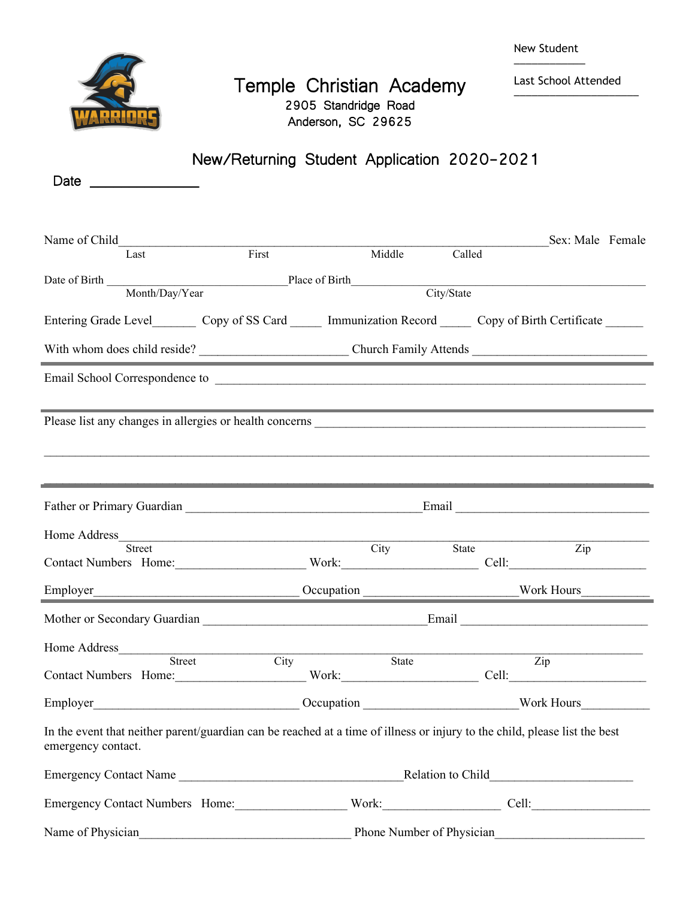| New Student |
|-------------|
|             |



## Temple Christian Academy 2905 Standridge Road Anderson, SC 29625

Last School Attended  $\overline{\phantom{a}}$  , and the set of the set of the set of the set of the set of the set of the set of the set of the set of the set of the set of the set of the set of the set of the set of the set of the set of the set of the s

|                                                                                                                                                                                                                                |             |            | New/Returning Student Application 2020-2021                           |                  |  |
|--------------------------------------------------------------------------------------------------------------------------------------------------------------------------------------------------------------------------------|-------------|------------|-----------------------------------------------------------------------|------------------|--|
| Date and the state of the state of the state of the state of the state of the state of the state of the state of the state of the state of the state of the state of the state of the state of the state of the state of the s |             |            |                                                                       |                  |  |
|                                                                                                                                                                                                                                |             |            |                                                                       |                  |  |
|                                                                                                                                                                                                                                |             |            |                                                                       | Sex: Male Female |  |
| Last                                                                                                                                                                                                                           | First       | Middle     | Called                                                                |                  |  |
| Date of Birth Month/Day/Year Place of Birth                                                                                                                                                                                    |             |            |                                                                       |                  |  |
|                                                                                                                                                                                                                                |             |            | City/State                                                            |                  |  |
| Entering Grade Level Copy of SS Card Immunization Record Copy of Birth Certificate                                                                                                                                             |             |            |                                                                       |                  |  |
|                                                                                                                                                                                                                                |             |            |                                                                       |                  |  |
|                                                                                                                                                                                                                                |             |            |                                                                       |                  |  |
|                                                                                                                                                                                                                                |             |            |                                                                       |                  |  |
|                                                                                                                                                                                                                                |             |            |                                                                       |                  |  |
|                                                                                                                                                                                                                                |             |            |                                                                       |                  |  |
|                                                                                                                                                                                                                                |             |            |                                                                       |                  |  |
| Father or Primary Guardian Email Email Email                                                                                                                                                                                   |             |            |                                                                       |                  |  |
| Home Address                                                                                                                                                                                                                   |             |            |                                                                       |                  |  |
| <b>Street</b><br>Contact Numbers Home: Work: Work: Cell: Cell:                                                                                                                                                                 |             | City State |                                                                       | $\overline{Zip}$ |  |
|                                                                                                                                                                                                                                |             |            |                                                                       |                  |  |
|                                                                                                                                                                                                                                |             |            |                                                                       |                  |  |
|                                                                                                                                                                                                                                |             |            |                                                                       |                  |  |
| Home Address                                                                                                                                                                                                                   |             |            |                                                                       |                  |  |
| Street<br>Contact Numbers Home: Work: Work: Cell: Cell:                                                                                                                                                                        | <b>City</b> | State      |                                                                       | Zip              |  |
|                                                                                                                                                                                                                                |             |            |                                                                       |                  |  |
| In the event that neither parent/guardian can be reached at a time of illness or injury to the child, please list the best<br>emergency contact.                                                                               |             |            |                                                                       |                  |  |
|                                                                                                                                                                                                                                |             |            |                                                                       |                  |  |
| Emergency Contact Numbers Home: Work: Work: Cell: Cell:                                                                                                                                                                        |             |            |                                                                       |                  |  |
|                                                                                                                                                                                                                                |             |            | Name of Physician Phone Number of Physician Phone Number of Physician |                  |  |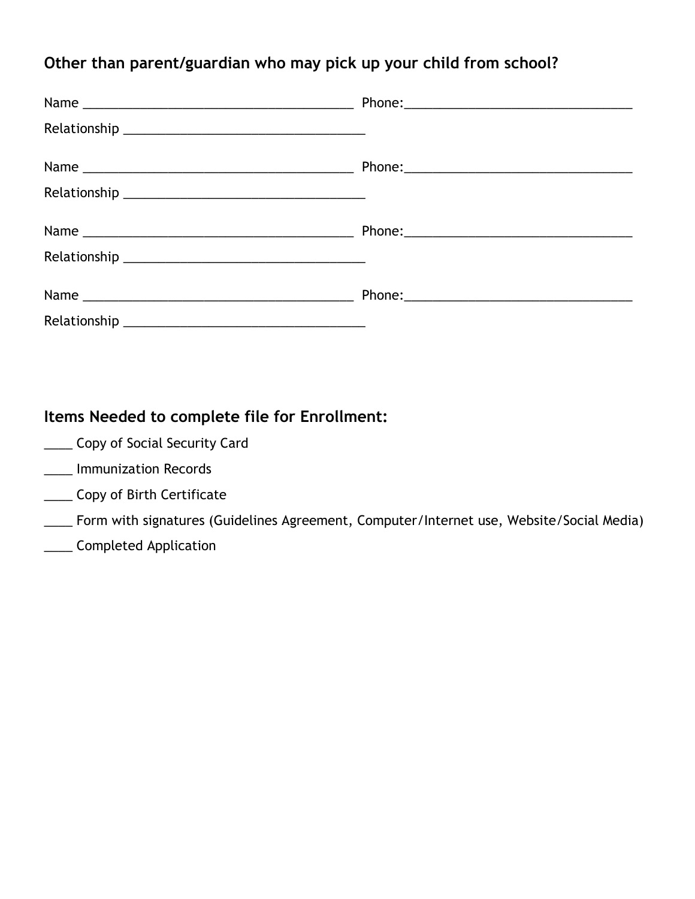### **Other than parent/guardian who may pick up your child from school?**

### **Items Needed to complete file for Enrollment:**

- **Lack** Copy of Social Security Card
- \_\_\_\_ Immunization Records
- \_\_\_\_ Copy of Birth Certificate
- \_\_\_\_ Form with signatures (Guidelines Agreement, Computer/Internet use, Website/Social Media)
- \_\_\_\_ Completed Application